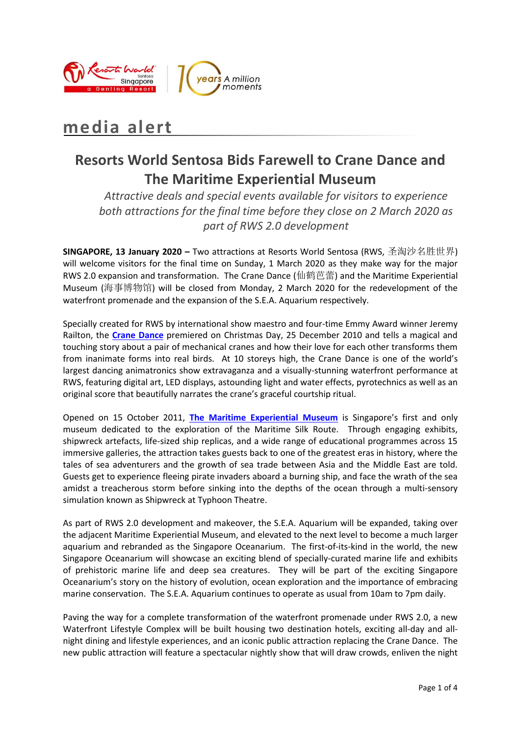



# **media alert**

# **Resorts World Sentosa Bids Farewell to Crane Dance and The Maritime Experiential Museum**

*Attractive deals and special events available for visitors to experience both attractions for the final time before they close on 2 March 2020 as part of RWS 2.0 development*

**SINGAPORE, 13 January 2020 –** Two attractions at Resorts World Sentosa (RWS, 圣淘沙名胜世界) will welcome visitors for the final time on Sunday, 1 March 2020 as they make way for the major RWS 2.0 expansion and transformation. The Crane Dance (仙鹤芭蕾) and the Maritime Experiential Museum (海事博物馆) will be closed from Monday, 2 March 2020 for the redevelopment of the waterfront promenade and the expansion of the S.E.A. Aquarium respectively.

Specially created for RWS by international show maestro and four-time Emmy Award winner Jeremy Railton, the **[Crane Dance](https://www.rwsentosa.com/en/attractions/crane-dance)** premiered on Christmas Day, 25 December 2010 and tells a magical and touching story about a pair of mechanical cranes and how their love for each other transforms them from inanimate forms into real birds. At 10 storeys high, the Crane Dance is one of the world's largest dancing animatronics show extravaganza and a visually-stunning waterfront performance at RWS, featuring digital art, LED displays, astounding light and water effects, pyrotechnics as well as an original score that beautifully narrates the crane's graceful courtship ritual.

Opened on 15 October 2011, **[The Maritime Experiential Museum](https://www.rwsentosa.com/en/attractions/the-maritime-experiential-museum)** is Singapore's first and only museum dedicated to the exploration of the Maritime Silk Route. Through engaging exhibits, shipwreck artefacts, life-sized ship replicas, and a wide range of educational programmes across 15 immersive galleries, the attraction takes guests back to one of the greatest eras in history, where the tales of sea adventurers and the growth of sea trade between Asia and the Middle East are told. Guests get to experience fleeing pirate invaders aboard a burning ship, and face the wrath of the sea amidst a treacherous storm before sinking into the depths of the ocean through a multi-sensory simulation known as Shipwreck at Typhoon Theatre.

As part of RWS 2.0 development and makeover, the S.E.A. Aquarium will be expanded, taking over the adjacent Maritime Experiential Museum, and elevated to the next level to become a much larger aquarium and rebranded as the Singapore Oceanarium. The first-of-its-kind in the world, the new Singapore Oceanarium will showcase an exciting blend of specially-curated marine life and exhibits of prehistoric marine life and deep sea creatures. They will be part of the exciting Singapore Oceanarium's story on the history of evolution, ocean exploration and the importance of embracing marine conservation. The S.E.A. Aquarium continues to operate as usual from 10am to 7pm daily.

Paving the way for a complete transformation of the waterfront promenade under RWS 2.0, a new Waterfront Lifestyle Complex will be built housing two destination hotels, exciting all-day and allnight dining and lifestyle experiences, and an iconic public attraction replacing the Crane Dance. The new public attraction will feature a spectacular nightly show that will draw crowds, enliven the night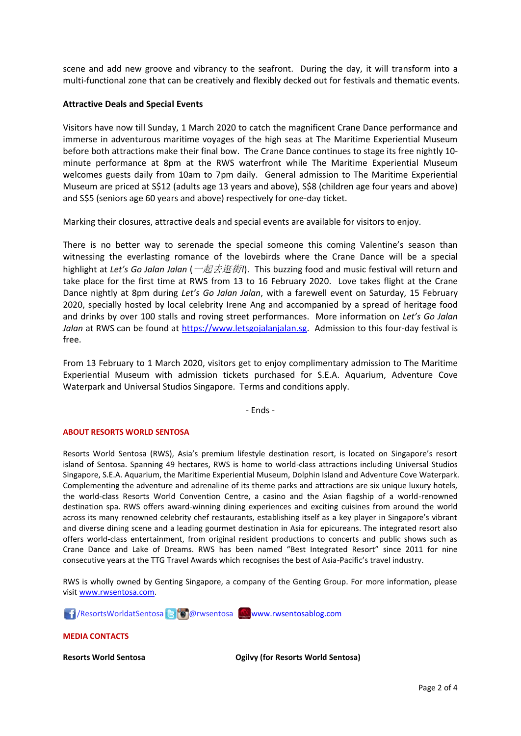scene and add new groove and vibrancy to the seafront. During the day, it will transform into a multi-functional zone that can be creatively and flexibly decked out for festivals and thematic events.

#### **Attractive Deals and Special Events**

Visitors have now till Sunday, 1 March 2020 to catch the magnificent Crane Dance performance and immerse in adventurous maritime voyages of the high seas at The Maritime Experiential Museum before both attractions make their final bow. The Crane Dance continues to stage its free nightly 10 minute performance at 8pm at the RWS waterfront while The Maritime Experiential Museum welcomes guests daily from 10am to 7pm daily. General admission to The Maritime Experiential Museum are priced at S\$12 (adults age 13 years and above), S\$8 (children age four years and above) and S\$5 (seniors age 60 years and above) respectively for one-day ticket.

Marking their closures, attractive deals and special events are available for visitors to enjoy.

There is no better way to serenade the special someone this coming Valentine's season than witnessing the everlasting romance of the lovebirds where the Crane Dance will be a special highlight at *Let's Go Jalan Jalan* (一起去逛街*!*). This buzzing food and music festival will return and take place for the first time at RWS from 13 to 16 February 2020. Love takes flight at the Crane Dance nightly at 8pm during *Let's Go Jalan Jalan*, with a farewell event on Saturday, 15 February 2020, specially hosted by local celebrity Irene Ang and accompanied by a spread of heritage food and drinks by over 100 stalls and roving street performances. More information on *Let's Go Jalan Jalan* at RWS can be found at [https://www.letsgojalanjalan.sg.](https://www.letsgojalanjalan.sg/) Admission to this four-day festival is free.

From 13 February to 1 March 2020, visitors get to enjoy complimentary admission to The Maritime Experiential Museum with admission tickets purchased for S.E.A. Aquarium, Adventure Cove Waterpark and Universal Studios Singapore. Terms and conditions apply.

- Ends -

#### **ABOUT RESORTS WORLD SENTOSA**

Resorts World Sentosa (RWS), Asia's premium lifestyle destination resort, is located on Singapore's resort island of Sentosa. Spanning 49 hectares, RWS is home to world-class attractions including Universal Studios Singapore, S.E.A. Aquarium, the Maritime Experiential Museum, Dolphin Island and Adventure Cove Waterpark. Complementing the adventure and adrenaline of its theme parks and attractions are six unique luxury hotels, the world-class Resorts World Convention Centre, a casino and the Asian flagship of a world-renowned destination spa. RWS offers award-winning dining experiences and exciting cuisines from around the world across its many renowned celebrity chef restaurants, establishing itself as a key player in Singapore's vibrant and diverse dining scene and a leading gourmet destination in Asia for epicureans. The integrated resort also offers world-class entertainment, from original resident productions to concerts and public shows such as Crane Dance and Lake of Dreams. RWS has been named "Best Integrated Resort" since 2011 for nine consecutive years at the TTG Travel Awards which recognises the best of Asia-Pacific's travel industry.

RWS is wholly owned by Genting Singapore, a company of the Genting Group. For more information, please visi[t www.rwsentosa.com.](http://www.rwsentosa.com/)

17 / ResortsWorldatSentosa 8 @ @rwsentosa [www.rwsentosablog.com](http://www.rwsentosablog.com/)

**MEDIA CONTACTS**

**Resorts World Sentosa Ogilvy (for Resorts World Sentosa)**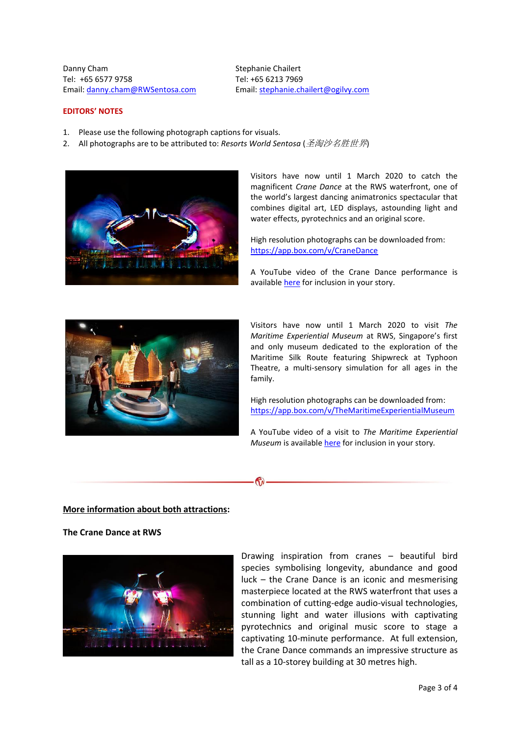Danny Cham Tel: +65 6577 9758 Email: [danny.cham@RWSentosa.com](mailto:danny.cham@RWSentosa.com) Stephanie Chailert Tel: +65 6213 7969 Email[: stephanie.chailert@ogilvy.com](mailto:stephanie.chailert@ogilvy.com)

### **EDITORS' NOTES**

- 1. Please use the following photograph captions for visuals.
- 2. All photographs are to be attributed to: *Resorts World Sentosa* (圣淘沙名胜世界)



Visitors have now until 1 March 2020 to catch the magnificent *Crane Dance* at the RWS waterfront, one of the world's largest dancing animatronics spectacular that combines digital art, LED displays, astounding light and water effects, pyrotechnics and an original score.

High resolution photographs can be downloaded from: <https://app.box.com/v/CraneDance>

A YouTube video of the Crane Dance performance is available [here](https://www.youtube.com/watch?v=7s9MOq6FixA) for inclusion in your story.



Visitors have now until 1 March 2020 to visit *The Maritime Experiential Museum* at RWS, Singapore's first and only museum dedicated to the exploration of the Maritime Silk Route featuring Shipwreck at Typhoon Theatre, a multi-sensory simulation for all ages in the family.

High resolution photographs can be downloaded from: <https://app.box.com/v/TheMaritimeExperientialMuseum>

A YouTube video of a visit to *The Maritime Experiential Museum* is available [here](https://www.youtube.com/watch?v=4hWhdCx_FNw) for inclusion in your story*.*

 $\mathcal{C}_{\mathcal{N}}$ 

**More information about both attractions:**

**The Crane Dance at RWS**



Drawing inspiration from cranes – beautiful bird species symbolising longevity, abundance and good luck – the Crane Dance is an iconic and mesmerising masterpiece located at the RWS waterfront that uses a combination of cutting-edge audio-visual technologies, stunning light and water illusions with captivating pyrotechnics and original music score to stage a captivating 10-minute performance. At full extension, the Crane Dance commands an impressive structure as tall as a 10-storey building at 30 metres high.